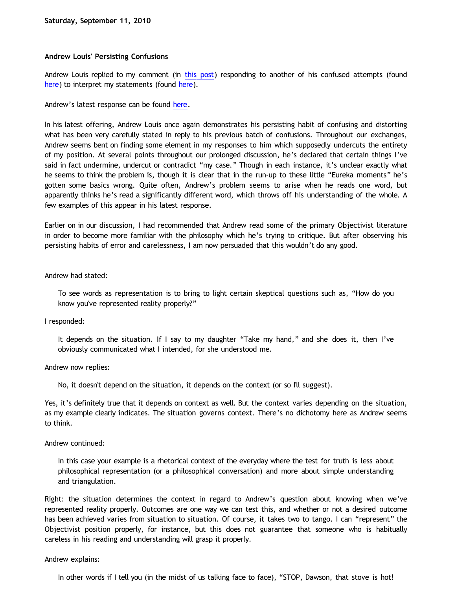# **Andrew Louis' Persisting Confusions**

Andrew Louis replied to my comment (in [this post](http://bahnsenburner.blogspot.com/2010/09/another-reply-to-andrew-louis.html)) responding to another of his confused attempts (found [here\)](http://bahnsenburner.blogspot.com/2010/09/reply-to-andrew-louis.html) to interpret my statements (found here).

Andrew's latest response can be found [here](http://idiotphilosophy.blogspot.com/2010/09/wrap-up-on-objectivism.html).

In his latest offering, Andrew Louis once again demonstrates his persisting habit of confusing and distorting what has been very carefully stated in reply to his previous batch of confusions. Throughout our exchanges, Andrew seems bent on finding some element in my responses to him which supposedly undercuts the entirety of my position. At several points throughout our prolonged discussion, he's declared that certain things I've said in fact undermine, undercut or contradict "my case." Though in each instance, it's unclear exactly what he seems to think the problem is, though it is clear that in the run-up to these little "Eureka moments" he's gotten some basics wrong. Quite often, Andrew's problem seems to arise when he reads one word, but apparently thinks he's read a significantly different word, which throws off his understanding of the whole. A few examples of this appear in his latest response.

Earlier on in our discussion, I had recommended that Andrew read some of the primary Objectivist literature in order to become more familiar with the philosophy which he's trying to critique. But after observing his persisting habits of error and carelessness, I am now persuaded that this wouldn't do any good.

## Andrew had stated:

To see words as representation is to bring to light certain skeptical questions such as, "How do you know you've represented reality properly?"

## I responded:

It depends on the situation. If I say to my daughter "Take my hand," and she does it, then I've obviously communicated what I intended, for she understood me.

## Andrew now replies:

No, it doesn't depend on the situation, it depends on the context (or so I'll suggest).

Yes, it's definitely true that it depends on context as well. But the context varies depending on the situation, as my example clearly indicates. The situation governs context. There's no dichotomy here as Andrew seems to think.

## Andrew continued:

In this case your example is a rhetorical context of the everyday where the test for truth is less about philosophical representation (or a philosophical conversation) and more about simple understanding and triangulation.

Right: the situation determines the context in regard to Andrew's question about knowing when we've represented reality properly. Outcomes are one way we can test this, and whether or not a desired outcome has been achieved varies from situation to situation. Of course, it takes two to tango. I can "represent" the Objectivist position properly, for instance, but this does not guarantee that someone who is habitually careless in his reading and understanding will grasp it properly.

## Andrew explains:

In other words if I tell you (in the midst of us talking face to face), "STOP, Dawson, that stove is hot!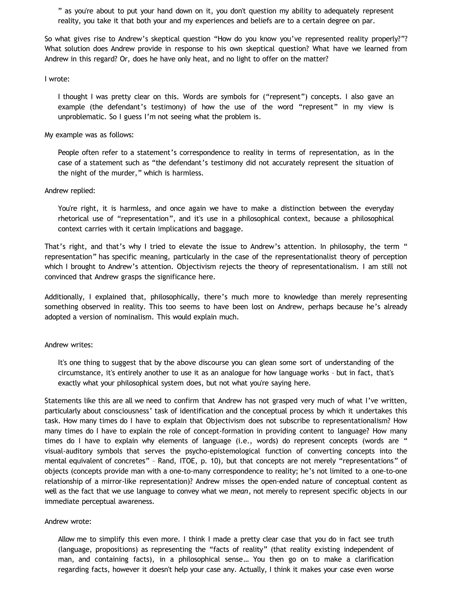" as you're about to put your hand down on it, you don't question my ability to adequately represent reality, you take it that both your and my experiences and beliefs are to a certain degree on par.

So what gives rise to Andrew's skeptical question "How do you know you've represented reality properly?"? What solution does Andrew provide in response to his own skeptical question? What have we learned from Andrew in this regard? Or, does he have only heat, and no light to offer on the matter?

I wrote:

I thought I was pretty clear on this. Words are symbols for ("represent") concepts. I also gave an example (the defendant's testimony) of how the use of the word "represent" in my view is unproblematic. So I guess I'm not seeing what the problem is.

My example was as follows:

People often refer to a statement's correspondence to reality in terms of representation, as in the case of a statement such as "the defendant's testimony did not accurately represent the situation of the night of the murder," which is harmless.

### Andrew replied:

You're right, it is harmless, and once again we have to make a distinction between the everyday rhetorical use of "representation", and it's use in a philosophical context, because a philosophical context carries with it certain implications and baggage.

That's right, and that's why I tried to elevate the issue to Andrew's attention. In philosophy, the term " representation" has specific meaning, particularly in the case of the representationalist theory of perception which I brought to Andrew's attention. Objectivism rejects the theory of representationalism. I am still not convinced that Andrew grasps the significance here.

Additionally, I explained that, philosophically, there's much more to knowledge than merely representing something observed in reality. This too seems to have been lost on Andrew, perhaps because he's already adopted a version of nominalism. This would explain much.

### Andrew writes:

It's one thing to suggest that by the above discourse you can glean some sort of understanding of the circumstance, it's entirely another to use it as an analogue for how language works – but in fact, that's exactly what your philosophical system does, but not what you're saying here.

Statements like this are all we need to confirm that Andrew has not grasped very much of what I've written, particularly about consciousness' task of identification and the conceptual process by which it undertakes this task. How many times do I have to explain that Objectivism does not subscribe to representationalism? How many times do I have to explain the role of concept-formation in providing content to language? How many times do I have to explain why elements of language (i.e., words) do represent concepts (words are " visual-auditory symbols that serves the psycho-epistemological function of converting concepts into the mental equivalent of concretes" – Rand, ITOE, p. 10), but that concepts are not merely "representations" of objects (concepts provide man with a one-to-many correspondence to reality; he's not limited to a one-to-one relationship of a mirror-like representation)? Andrew misses the open-ended nature of conceptual content as well as the fact that we use language to convey what we *mean*, not merely to represent specific objects in our immediate perceptual awareness.

#### Andrew wrote:

Allow me to simplify this even more. I think I made a pretty clear case that you do in fact see truth (language, propositions) as representing the "facts of reality" (that reality existing independent of man, and containing facts), in a philosophical sense… You then go on to make a clarification regarding facts, however it doesn't help your case any. Actually, I think it makes your case even worse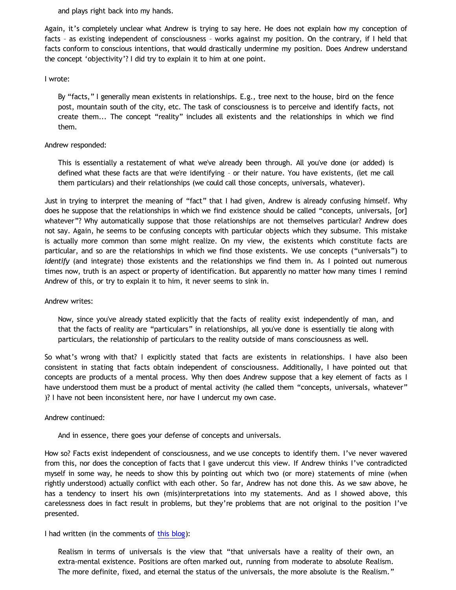and plays right back into my hands.

Again, it's completely unclear what Andrew is trying to say here. He does not explain how my conception of facts – as existing independent of consciousness – works against my position. On the contrary, if I held that facts conform to conscious intentions, that would drastically undermine my position. Does Andrew understand the concept 'objectivity'? I did try to explain it to him at one point.

## I wrote:

By "facts," I generally mean existents in relationships. E.g., tree next to the house, bird on the fence post, mountain south of the city, etc. The task of consciousness is to perceive and identify facts, not create them... The concept "reality" includes all existents and the relationships in which we find them.

### Andrew responded:

This is essentially a restatement of what we've already been through. All you've done (or added) is defined what these facts are that we're identifying – or their nature. You have existents, (let me call them particulars) and their relationships (we could call those concepts, universals, whatever).

Just in trying to interpret the meaning of "fact" that I had given, Andrew is already confusing himself. Why does he suppose that the relationships in which we find existence should be called "concepts, universals, [or] whatever"? Why automatically suppose that those relationships are not themselves particular? Andrew does not say. Again, he seems to be confusing concepts with particular objects which they subsume. This mistake is actually more common than some might realize. On my view, the existents which constitute facts are particular, and so are the relationships in which we find those existents. We use concepts ("universals") to *identify* (and integrate) those existents and the relationships we find them in. As I pointed out numerous times now, truth is an aspect or property of identification. But apparently no matter how many times I remind Andrew of this, or try to explain it to him, it never seems to sink in.

## Andrew writes:

Now, since you've already stated explicitly that the facts of reality exist independently of man, and that the facts of reality are "particulars" in relationships, all you've done is essentially tie along with particulars, the relationship of particulars to the reality outside of mans consciousness as well.

So what's wrong with that? I explicitly stated that facts are existents in relationships. I have also been consistent in stating that facts obtain independent of consciousness. Additionally, I have pointed out that concepts are products of a mental process. Why then does Andrew suppose that a key element of facts as I have understood them must be a product of mental activity (he called them "concepts, universals, whatever" )? I have not been inconsistent here, nor have I undercut my own case.

## Andrew continued:

And in essence, there goes your defense of concepts and universals.

How so? Facts exist independent of consciousness, and we use concepts to identify them. I've never wavered from this, nor does the conception of facts that I gave undercut this view. If Andrew thinks I've contradicted myself in some way, he needs to show this by pointing out which two (or more) statements of mine (when rightly understood) actually conflict with each other. So far, Andrew has not done this. As we saw above, he has a tendency to insert his own (mis)interpretations into my statements. And as I showed above, this carelessness does in fact result in problems, but they're problems that are not original to the position I've presented.

## I had written (in the comments of [this blog](http://bahnsenburner.blogspot.com/2010/08/critique-of-sye-ten-bruggencates.html)):

Realism in terms of universals is the view that "that universals have a reality of their own, an extra-mental existence. Positions are often marked out, running from moderate to absolute Realism. The more definite, fixed, and eternal the status of the universals, the more absolute is the Realism."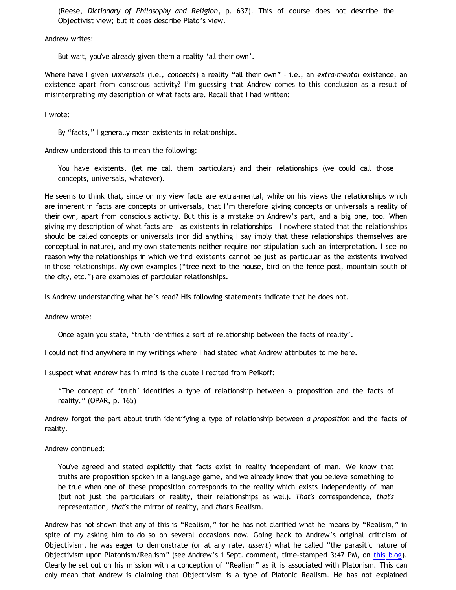(Reese, *Dictionary of Philosophy and Religion*, p. 637). This of course does not describe the Objectivist view; but it does describe Plato's view.

Andrew writes:

But wait, you've already given them a reality 'all their own'.

Where have I given *universals* (i.e., *concepts*) a reality "all their own" – i.e., an *extra-mental* existence, an existence apart from conscious activity? I'm guessing that Andrew comes to this conclusion as a result of misinterpreting my description of what facts are. Recall that I had written:

I wrote:

By "facts," I generally mean existents in relationships.

Andrew understood this to mean the following:

You have existents, (let me call them particulars) and their relationships (we could call those concepts, universals, whatever).

He seems to think that, since on my view facts are extra-mental, while on his views the relationships which are inherent in facts are concepts or universals, that I'm therefore giving concepts or universals a reality of their own, apart from conscious activity. But this is a mistake on Andrew's part, and a big one, too. When giving my description of what facts are – as existents in relationships – I nowhere stated that the relationships should be called concepts or universals (nor did anything I say imply that these relationships themselves are conceptual in nature), and my own statements neither require nor stipulation such an interpretation. I see no reason why the relationships in which we find existents cannot be just as particular as the existents involved in those relationships. My own examples ("tree next to the house, bird on the fence post, mountain south of the city, etc.") are examples of particular relationships.

Is Andrew understanding what he's read? His following statements indicate that he does not.

Andrew wrote:

Once again you state, 'truth identifies a sort of relationship between the facts of reality'.

I could not find anywhere in my writings where I had stated what Andrew attributes to me here.

I suspect what Andrew has in mind is the quote I recited from Peikoff:

"The concept of 'truth' identifies a type of relationship between a proposition and the facts of reality." (OPAR, p. 165)

Andrew forgot the part about truth identifying a type of relationship between *a proposition* and the facts of reality.

## Andrew continued:

You've agreed and stated explicitly that facts exist in reality independent of man. We know that truths are proposition spoken in a language game, and we already know that you believe something to be true when one of these proposition corresponds to the reality which exists independently of man (but not just the particulars of reality, their relationships as well). *That's* correspondence, *that's* representation, *that's* the mirror of reality, and *that's* Realism.

Andrew has not shown that any of this is "Realism," for he has not clarified what he means by "Realism," in spite of my asking him to do so on several occasions now. Going back to Andrew's original criticism of Objectivism, he was eager to demonstrate (or at any rate, *assert*) what he called "the parasitic nature of Objectivism upon Platonism/Realism" (see Andrew's 1 Sept. comment, time-stamped 3:47 PM, on [this blog](http://bahnsenburner.blogspot.com/2010/08/critique-of-sye-ten-bruggencates.html)). Clearly he set out on his mission with a conception of "Realism" as it is associated with Platonism. This can only mean that Andrew is claiming that Objectivism is a type of Platonic Realism. He has not explained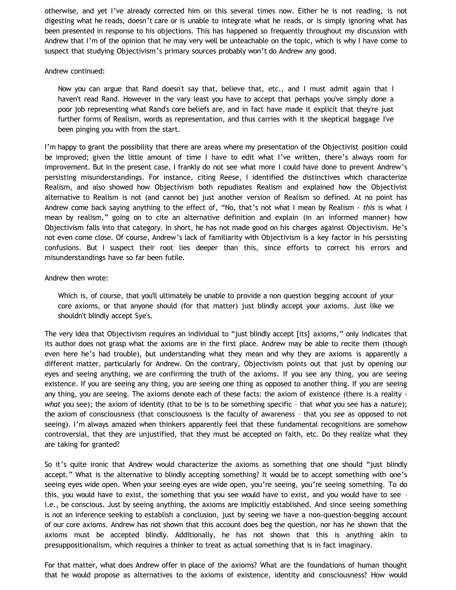otherwise, and yet I've already corrected him on this several times now. Either he is not reading, is not digesting what he reads, doesn't care or is unable to integrate what he reads, or is simply ignoring what has been presented in response to his objections. This has happened so frequently throughout my discussion with Andrew that I'm of the opinion that he may very well be unteachable on the topic, which is why I have come to suspect that studying Objectivism's primary sources probably won't do Andrew any good.

### Andrew continued:

Now you can argue that Rand doesn't say that, believe that, etc., and I must admit again that I haven't read Rand. However in the vary least you have to accept that perhaps you've simply done a poor job representing what Rand's core beliefs are, and in fact have made it explicit that they're just further forms of Realism, words as representation, and thus carries with it the skeptical baggage I've been pinging you with from the start.

I'm happy to grant the possibility that there are areas where my presentation of the Objectivist position could be improved; given the little amount of time I have to edit what I've written, there's always room for improvement. But in the present case, I frankly do not see what more I could have done to prevent Andrew's persisting misunderstandings. For instance, citing Reese, I identified the distinctives which characterize Realism, and also showed how Objectivism both repudiates Realism and explained how the Objectivist alternative to Realism is not (and cannot be) just another version of Realism so defined. At no point has Andrew come back saying anything to the effect of, "No, that's not what I mean by Realism - *this* is what I mean by realism," going on to cite an alternative definition and explain (in an informed manner) how Objectivism falls into that category. In short, he has not made good on his charges against Objectivism. He's not even come close. Of course, Andrew's lack of familiarity with Objectivism is a key factor in his persisting confusions. But I suspect their root lies deeper than this, since efforts to correct his errors and misunderstandings have so far been futile.

### Andrew then wrote:

Which is, of course, that you'll ultimately be unable to provide a non question begging account of your core axioms, or that anyone should (for that matter) just blindly accept your axioms. Just like we shouldn't blindly accept Sye's.

The very idea that Objectivism requires an individual to "just blindly accept [its] axioms," only indicates that its author does not grasp what the axioms are in the first place. Andrew may be able to recite them (though even here he's had trouble), but understanding what they mean and why they are axioms is apparently a different matter, particularly for Andrew. On the contrary, Objectivism points out that just by opening our eyes and seeing anything, we are confirming the truth of the axioms. If you see any thing, you are seeing existence. If you are seeing any thing, you are seeing one thing as opposed to another thing. If you are seeing any thing, you are seeing. The axioms denote each of these facts: the axiom of existence (there is a reality *what* you see); the axiom of identity (that to be is to be something specific – that *what* you see has a nature); the axiom of consciousness (that consciousness is the faculty of awareness – that you *see* as opposed to not seeing). I'm always amazed when thinkers apparently feel that these fundamental recognitions are somehow controversial, that they are unjustified, that they must be accepted on faith, etc. Do they realize what they are taking for granted?

So it's quite ironic that Andrew would characterize the axioms as something that one should "just blindly accept." What is the alternative to blindly accepting something? It would be to accept something with one's seeing eyes wide open. When your seeing eyes are wide open, you're seeing, you're seeing something. To do this, you would have to exist, the something that you see would have to exist, and you would have to see – i.e., be conscious. Just by seeing anything, the axioms are implicitly established. And since seeing something is not an inference seeking to establish a conclusion, just by seeing we have a non-question-begging account of our core axioms. Andrew has not shown that this account does beg the question, nor has he shown that the axioms must be accepted blindly. Additionally, he has not shown that this is anything akin to presuppositionalism, which requires a thinker to treat as actual something that is in fact imaginary.

For that matter, what does Andrew offer in place of the axioms? What are the foundations of human thought that he would propose as alternatives to the axioms of existence, identity and consciousness? How would